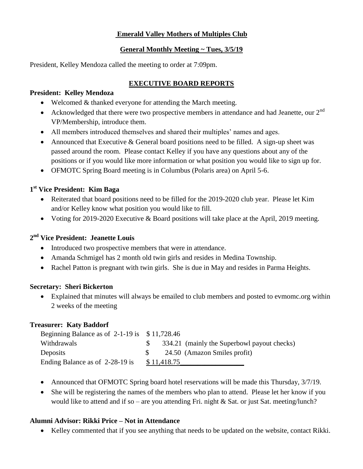# **Emerald Valley Mothers of Multiples Club**

#### **General Monthly Meeting ~ Tues, 3/5/19**

President, Kelley Mendoza called the meeting to order at 7:09pm.

# **EXECUTIVE BOARD REPORTS**

#### **President: Kelley Mendoza**

- Welcomed & thanked everyone for attending the March meeting.
- Acknowledged that there were two prospective members in attendance and had Jeanette, our  $2<sup>nd</sup>$ VP/Membership, introduce them.
- All members introduced themselves and shared their multiples' names and ages.
- Announced that Executive & General board positions need to be filled. A sign-up sheet was passed around the room. Please contact Kelley if you have any questions about any of the positions or if you would like more information or what position you would like to sign up for.
- OFMOTC Spring Board meeting is in Columbus (Polaris area) on April 5-6.

# **1 st Vice President: Kim Baga**

- Reiterated that board positions need to be filled for the 2019-2020 club year. Please let Kim and/or Kelley know what position you would like to fill.
- Voting for 2019-2020 Executive & Board positions will take place at the April, 2019 meeting.

# **2 nd Vice President: Jeanette Louis**

- Introduced two prospective members that were in attendance.
- Amanda Schmigel has 2 month old twin girls and resides in Medina Township.
- Rachel Patton is pregnant with twin girls. She is due in May and resides in Parma Heights.

### **Secretary: Sheri Bickerton**

 Explained that minutes will always be emailed to club members and posted to evmomc.org within 2 weeks of the meeting

### **Treasurer: Katy Baddorf**

| Beginning Balance as of $2-1-19$ is $$11,728.46$ |             |                                             |
|--------------------------------------------------|-------------|---------------------------------------------|
| Withdrawals                                      |             | 334.21 (mainly the Superbowl payout checks) |
| Deposits                                         |             | 24.50 (Amazon Smiles profit)                |
| Ending Balance as of 2-28-19 is                  | \$11,418.75 |                                             |

- Announced that OFMOTC Spring board hotel reservations will be made this Thursday,  $3/7/19$ .
- She will be registering the names of the members who plan to attend. Please let her know if you would like to attend and if so – are you attending Fri. night & Sat. or just Sat. meeting/lunch?

### **Alumni Advisor: Rikki Price – Not in Attendance**

Kelley commented that if you see anything that needs to be updated on the website, contact Rikki.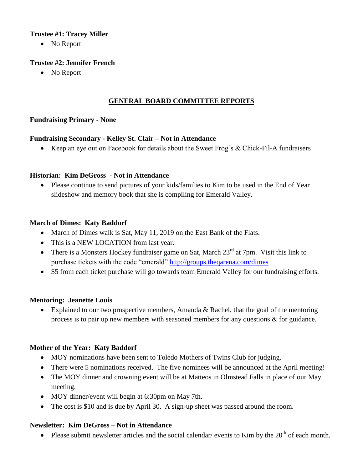#### **Trustee #1: Tracey Miller**

• No Report

### **Trustee #2: Jennifer French**

• No Report

### **GENERAL BOARD COMMITTEE REPORTS**

### **Fundraising Primary - None**

### **Fundraising Secondary - Kelley St. Clair – Not in Attendance**

Keep an eye out on Facebook for details about the Sweet Frog's & Chick-Fil-A fundraisers

#### **Historian: Kim DeGross - Not in Attendance**

 Please continue to send pictures of your kids/families to Kim to be used in the End of Year slideshow and memory book that she is compiling for Emerald Valley.

### **March of Dimes: Katy Baddorf**

- March of Dimes walk is Sat, May 11, 2019 on the East Bank of the Flats.
- This is a NEW LOCATION from last year.
- There is a Monsters Hockey fundraiser game on Sat, March  $23<sup>rd</sup>$  at 7pm. Visit this link to purchase tickets with the code "emerald"<http://groups.theqarena.com/dimes>
- \$5 from each ticket purchase will go towards team Emerald Valley for our fundraising efforts.

### **Mentoring: Jeanette Louis**

• Explained to our two prospective members, Amanda & Rachel, that the goal of the mentoring process is to pair up new members with seasoned members for any questions & for guidance.

### **Mother of the Year: Katy Baddorf**

- MOY nominations have been sent to Toledo Mothers of Twins Club for judging.
- There were 5 nominations received. The five nominees will be announced at the April meeting!
- The MOY dinner and crowning event will be at Matteos in Olmstead Falls in place of our May meeting.
- MOY dinner/event will begin at 6:30pm on May 7th.
- The cost is \$10 and is due by April 30. A sign-up sheet was passed around the room.

### **Newsletter: Kim DeGross – Not in Attendance**

• Please submit newsletter articles and the social calendar/ events to Kim by the  $20<sup>th</sup>$  of each month.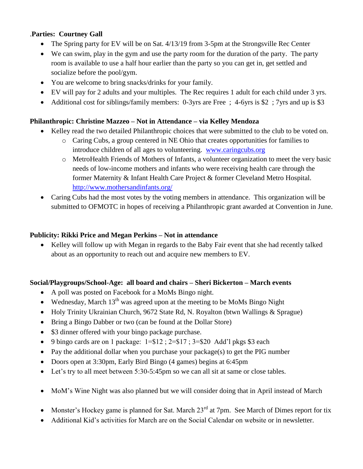# .**Parties: Courtney Gall**

- The Spring party for EV will be on Sat. 4/13/19 from 3-5pm at the Strongsville Rec Center
- We can swim, play in the gym and use the party room for the duration of the party. The party room is available to use a half hour earlier than the party so you can get in, get settled and socialize before the pool/gym.
- You are welcome to bring snacks/drinks for your family.
- EV will pay for 2 adults and your multiples. The Rec requires 1 adult for each child under 3 yrs.
- Additional cost for siblings/family members: 0-3yrs are Free ; 4-6yrs is \$2 ; 7yrs and up is \$3

### **Philanthropic: Christine Mazzeo – Not in Attendance – via Kelley Mendoza**

- Kelley read the two detailed Philanthropic choices that were submitted to the club to be voted on.
	- o Caring Cubs, a group centered in NE Ohio that creates opportunities for families to introduce children of all ages to volunteering. [www.caringcubs.org](http://www.caringcubs.org/)
	- o MetroHealth Friends of Mothers of Infants, a volunteer organization to meet the very basic needs of low-income mothers and infants who were receiving health care through the former Maternity & Infant Health Care Project & former Cleveland Metro Hospital. <http://www.mothersandinfants.org/>
- Caring Cubs had the most votes by the voting members in attendance. This organization will be submitted to OFMOTC in hopes of receiving a Philanthropic grant awarded at Convention in June.

#### **Publicity: Rikki Price and Megan Perkins – Not in attendance**

• Kelley will follow up with Megan in regards to the Baby Fair event that she had recently talked about as an opportunity to reach out and acquire new members to EV.

### **Social/Playgroups/School-Age: all board and chairs – Sheri Bickerton – March events**

- A poll was posted on Facebook for a MoMs Bingo night.
- Wednesday, March  $13<sup>th</sup>$  was agreed upon at the meeting to be MoMs Bingo Night
- Holy Trinity Ukrainian Church, 9672 State Rd, N. Royalton (btwn Wallings & Sprague)
- Bring a Bingo Dabber or two (can be found at the Dollar Store)
- \$3 dinner offered with your bingo package purchase.
- 9 bingo cards are on 1 package:  $1 = $12$ ;  $2 = $17$ ;  $3 = $20$  Add'l pkgs \$3 each
- Pay the additional dollar when you purchase your package(s) to get the PIG number
- Doors open at 3:30pm, Early Bird Bingo (4 games) begins at 6:45pm
- Let's try to all meet between 5:30-5:45pm so we can all sit at same or close tables.
- MoM's Wine Night was also planned but we will consider doing that in April instead of March
- Monster's Hockey game is planned for Sat. March  $23<sup>rd</sup>$  at 7pm. See March of Dimes report for tix
- Additional Kid's activities for March are on the Social Calendar on website or in newsletter.